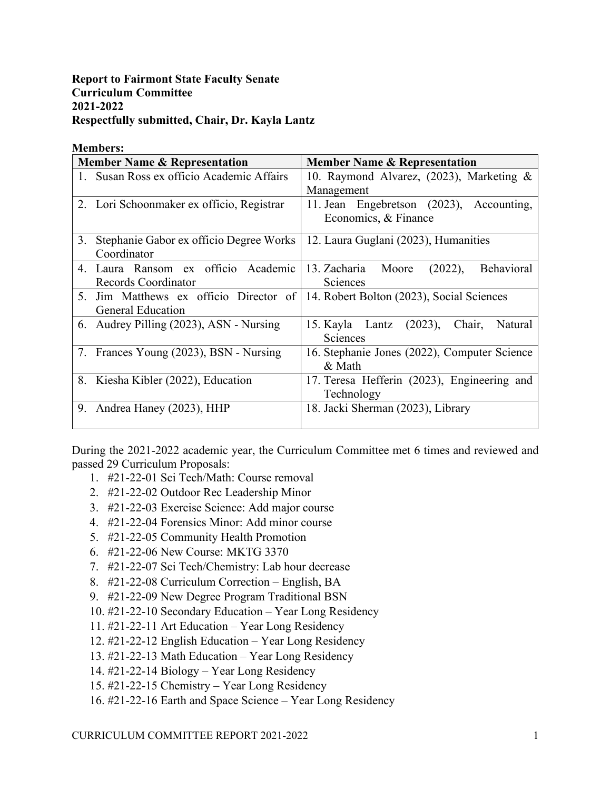## **Report to Fairmont State Faculty Senate Curriculum Committee 2021-2022 Respectfully submitted, Chair, Dr. Kayla Lantz**

## **Members:**

| <b>Member Name &amp; Representation</b> |                                           | <b>Member Name &amp; Representation</b>                |
|-----------------------------------------|-------------------------------------------|--------------------------------------------------------|
|                                         | 1. Susan Ross ex officio Academic Affairs | 10. Raymond Alvarez, (2023), Marketing &               |
|                                         |                                           | Management                                             |
|                                         | 2. Lori Schoonmaker ex officio, Registrar | 11. Jean Engebretson (2023), Accounting,               |
|                                         |                                           | Economics, & Finance                                   |
| 3.                                      | Stephanie Gabor ex officio Degree Works   | 12. Laura Guglani (2023), Humanities                   |
|                                         | Coordinator                               |                                                        |
|                                         | 4. Laura Ransom ex officio Academic       | 13. Zacharia<br>Behavioral<br>Moore<br>(2022),         |
|                                         | Records Coordinator                       | Sciences                                               |
| 5.                                      | Jim Matthews ex officio Director of       | 14. Robert Bolton (2023), Social Sciences              |
|                                         | <b>General Education</b>                  |                                                        |
|                                         | 6. Audrey Pilling (2023), ASN - Nursing   | (2023),<br>15. Kayla Lantz<br>Chair,<br>Natural        |
|                                         |                                           | Sciences                                               |
|                                         | 7. Frances Young (2023), BSN - Nursing    | 16. Stephanie Jones (2022), Computer Science<br>& Math |
|                                         | 8. Kiesha Kibler (2022), Education        | 17. Teresa Hefferin (2023), Engineering and            |
|                                         |                                           | Technology                                             |
| 9.                                      | Andrea Haney (2023), HHP                  | 18. Jacki Sherman (2023), Library                      |
|                                         |                                           |                                                        |

During the 2021-2022 academic year, the Curriculum Committee met 6 times and reviewed and passed 29 Curriculum Proposals:

- 1. #21-22-01 Sci Tech/Math: Course removal
- 2. #21-22-02 Outdoor Rec Leadership Minor
- 3. #21-22-03 Exercise Science: Add major course
- 4. #21-22-04 Forensics Minor: Add minor course
- 5. #21-22-05 Community Health Promotion
- 6. #21-22-06 New Course: MKTG 3370
- 7. #21-22-07 Sci Tech/Chemistry: Lab hour decrease
- 8. #21-22-08 Curriculum Correction English, BA
- 9. #21-22-09 New Degree Program Traditional BSN
- 10. #21-22-10 Secondary Education Year Long Residency
- 11. #21-22-11 Art Education Year Long Residency
- 12. #21-22-12 English Education Year Long Residency
- 13. #21-22-13 Math Education Year Long Residency
- 14. #21-22-14 Biology Year Long Residency
- 15. #21-22-15 Chemistry Year Long Residency
- 16. #21-22-16 Earth and Space Science Year Long Residency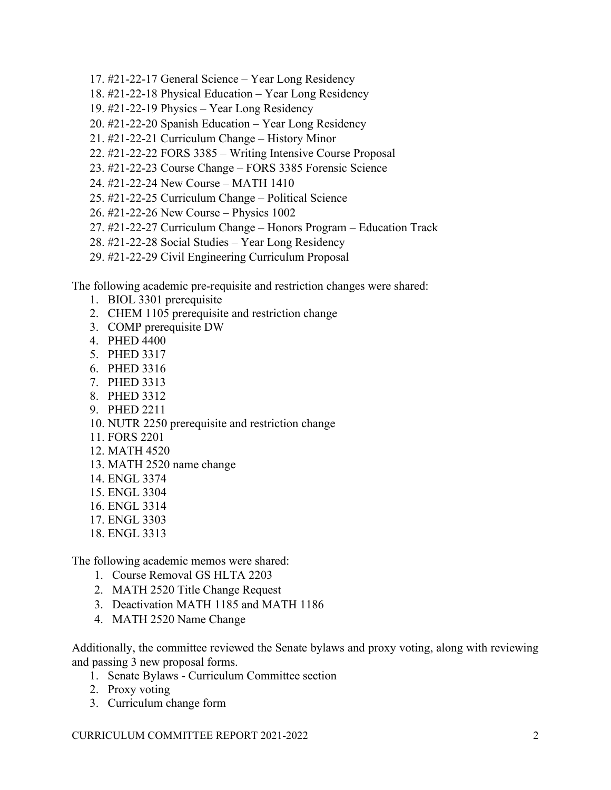- 17. #21-22-17 General Science Year Long Residency
- 18. #21-22-18 Physical Education Year Long Residency
- 19. #21-22-19 Physics Year Long Residency
- 20. #21-22-20 Spanish Education Year Long Residency
- 21. #21-22-21 Curriculum Change History Minor
- 22. #21-22-22 FORS 3385 Writing Intensive Course Proposal
- 23. #21-22-23 Course Change FORS 3385 Forensic Science
- 24. #21-22-24 New Course MATH 1410
- 25. #21-22-25 Curriculum Change Political Science
- 26. #21-22-26 New Course Physics 1002
- 27. #21-22-27 Curriculum Change Honors Program Education Track
- 28. #21-22-28 Social Studies Year Long Residency
- 29. #21-22-29 Civil Engineering Curriculum Proposal

The following academic pre-requisite and restriction changes were shared:

- 1. BIOL 3301 prerequisite
- 2. CHEM 1105 prerequisite and restriction change
- 3. COMP prerequisite DW
- 4. PHED 4400
- 5. PHED 3317
- 6. PHED 3316
- 7. PHED 3313
- 8. PHED 3312
- 9. PHED 2211
- 10. NUTR 2250 prerequisite and restriction change
- 11. FORS 2201
- 12. MATH 4520
- 13. MATH 2520 name change
- 14. ENGL 3374
- 15. ENGL 3304
- 16. ENGL 3314
- 17. ENGL 3303
- 18. ENGL 3313

The following academic memos were shared:

- 1. Course Removal GS HLTA 2203
- 2. MATH 2520 Title Change Request
- 3. Deactivation MATH 1185 and MATH 1186
- 4. MATH 2520 Name Change

Additionally, the committee reviewed the Senate bylaws and proxy voting, along with reviewing and passing 3 new proposal forms.

- 1. Senate Bylaws Curriculum Committee section
- 2. Proxy voting
- 3. Curriculum change form